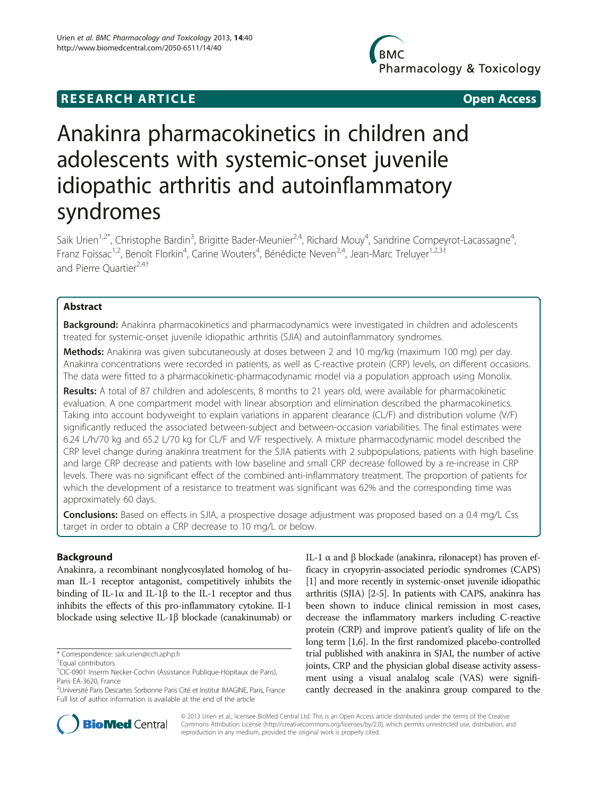## **RESEARCH ARTICLE Example 2008 CONSIDERING CONSIDERING CONSIDERING CONSIDERING CONSIDERING CONSIDERING CONSIDERING CONSIDERING CONSIDERING CONSIDERING CONSIDERING CONSIDERING CONSIDERING CONSIDERING CONSIDERING CONSIDE**

**BMC** Pharmacology & Toxicology

# Anakinra pharmacokinetics in children and adolescents with systemic-onset juvenile idiopathic arthritis and autoinflammatory syndromes

Saik Urien<sup>1,2\*</sup>, Christophe Bardin<sup>3</sup>, Brigitte Bader-Meunier<sup>2,4</sup>, Richard Mouy<sup>4</sup>, Sandrine Compeyrot-Lacassagne<sup>4</sup> , Franz Foissac<sup>1,2</sup>, Benoît Florkin<sup>4</sup>, Carine Wouters<sup>4</sup>, Bénédicte Neven<sup>2,4</sup>, Jean-Marc Treluyer<sup>1,2,3†</sup> and Pierre Quartier<sup>2,4†</sup>

### Abstract

Background: Anakinra pharmacokinetics and pharmacodynamics were investigated in children and adolescents treated for systemic-onset juvenile idiopathic arthritis (SJIA) and autoinflammatory syndromes.

Methods: Anakinra was given subcutaneously at doses between 2 and 10 mg/kg (maximum 100 mg) per day. Anakinra concentrations were recorded in patients, as well as C-reactive protein (CRP) levels, on different occasions. The data were fitted to a pharmacokinetic-pharmacodynamic model via a population approach using Monolix.

Results: A total of 87 children and adolescents, 8 months to 21 years old, were available for pharmacokinetic evaluation. A one compartment model with linear absorption and elimination described the pharmacokinetics. Taking into account bodyweight to explain variations in apparent clearance (CL/F) and distribution volume (V/F) significantly reduced the associated between-subject and between-occasion variabilities. The final estimates were 6.24 L/h/70 kg and 65.2 L/70 kg for CL/F and V/F respectively. A mixture pharmacodynamic model described the CRP level change during anakinra treatment for the SJIA patients with 2 subpopulations, patients with high baseline and large CRP decrease and patients with low baseline and small CRP decrease followed by a re-increase in CRP levels. There was no significant effect of the combined anti-inflammatory treatment. The proportion of patients for which the development of a resistance to treatment was significant was 62% and the corresponding time was approximately 60 days.

**Conclusions:** Based on effects in SJIA, a prospective dosage adjustment was proposed based on a 0.4 mg/L Css target in order to obtain a CRP decrease to 10 mg/L or below.

#### Background

Anakinra, a recombinant nonglycosylated homolog of human IL-1 receptor antagonist, competitively inhibits the binding of IL-1α and IL-1β to the IL-1 receptor and thus inhibits the effects of this pro-inflammatory cytokine. Il-1 blockade using selective IL-1β blockade (canakinumab) or IL-1 α and β blockade (anakinra, rilonacept) has proven efficacy in cryopyrin-associated periodic syndromes (CAPS) [[1](#page-5-0)] and more recently in systemic-onset juvenile idiopathic arthritis (SJIA) [[2](#page-5-0)-[5\]](#page-5-0). In patients with CAPS, anakinra has been shown to induce clinical remission in most cases, decrease the inflammatory markers including C-reactive protein (CRP) and improve patient's quality of life on the long term [[1,6](#page-5-0)]. In the first randomized placebo-controlled trial published with anakinra in SJAI, the number of active joints, CRP and the physician global disease activity assessment using a visual analalog scale (VAS) were significantly decreased in the anakinra group compared to the



© 2013 Urien et al.; licensee BioMed Central Ltd. This is an Open Access article distributed under the terms of the Creative Commons Attribution License [\(http://creativecommons.org/licenses/by/2.0\)](http://creativecommons.org/licenses/by/2.0), which permits unrestricted use, distribution, and reproduction in any medium, provided the original work is properly cited.

<sup>\*</sup> Correspondence: [saik.urien@cch.aphp.fr](mailto:saik.urien@cch.aphp.fr) †

<sup>&</sup>lt;sup>+</sup>Equal contributors

<sup>&</sup>lt;sup>1</sup>CIC-0901 Inserm Necker-Cochin (Assistance Publique-Hopitaux de Paris), Paris EA-3620, France

<sup>&</sup>lt;sup>2</sup>Université Paris Descartes Sorbonne Paris Cité et Institut IMAGINE, Paris, France Full list of author information is available at the end of the article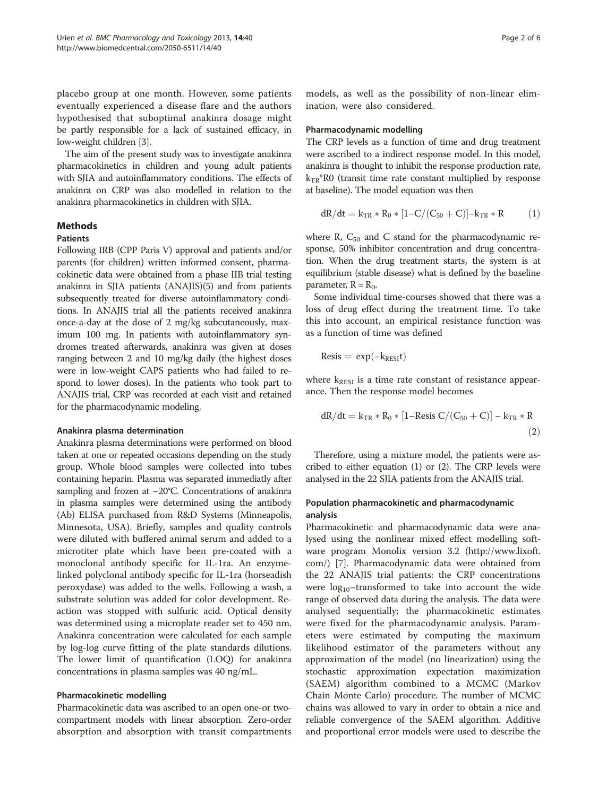placebo group at one month. However, some patients eventually experienced a disease flare and the authors hypothesised that suboptimal anakinra dosage might be partly responsible for a lack of sustained efficacy, in low-weight children [\[3\]](#page-5-0).

The aim of the present study was to investigate anakinra pharmacokinetics in children and young adult patients with SJIA and autoinflammatory conditions. The effects of anakinra on CRP was also modelled in relation to the anakinra pharmacokinetics in children with SJIA.

#### Methods

#### **Patients**

Following IRB (CPP Paris V) approval and patients and/or parents (for children) written informed consent, pharmacokinetic data were obtained from a phase IIB trial testing anakinra in SJIA patients (ANAJIS)(5) and from patients subsequently treated for diverse autoinflammatory conditions. In ANAJIS trial all the patients received anakinra once-a-day at the dose of 2 mg/kg subcutaneously, maximum 100 mg. In patients with autoinflammatory syndromes treated afterwards, anakinra was given at doses ranging between 2 and 10 mg/kg daily (the highest doses were in low-weight CAPS patients who had failed to respond to lower doses). In the patients who took part to ANAJIS trial, CRP was recorded at each visit and retained for the pharmacodynamic modeling.

#### Anakinra plasma determination

Anakinra plasma determinations were performed on blood taken at one or repeated occasions depending on the study group. Whole blood samples were collected into tubes containing heparin. Plasma was separated immediatly after sampling and frozen at −20°C. Concentrations of anakinra in plasma samples were determined using the antibody (Ab) ELISA purchased from R&D Systems (Minneapolis, Minnesota, USA). Briefly, samples and quality controls were diluted with buffered animal serum and added to a microtiter plate which have been pre-coated with a monoclonal antibody specific for IL-1ra. An enzymelinked polyclonal antibody specific for IL-1ra (horseadish peroxydase) was added to the wells. Following a wash, a substrate solution was added for color development. Reaction was stopped with sulfuric acid. Optical density was determined using a microplate reader set to 450 nm. Anakinra concentration were calculated for each sample by log-log curve fitting of the plate standards dilutions. The lower limit of quantification (LOQ) for anakinra concentrations in plasma samples was 40 ng/mL.

#### Pharmacokinetic modelling

Pharmacokinetic data was ascribed to an open one-or twocompartment models with linear absorption. Zero-order absorption and absorption with transit compartments

models, as well as the possibility of non-linear elimination, were also considered.

#### Pharmacodynamic modelling

The CRP levels as a function of time and drug treatment were ascribed to a indirect response model. In this model, anakinra is thought to inhibit the response production rate,  $k_{TR}$ <sup>\*</sup>R0 (transit time rate constant multiplied by response at baseline). The model equation was then

$$
dR/dt = k_{TR}*R_0*[1\!-\!C/(C_{50}+C)]\!-\!k_{TR}*R \qquad \quad (1)
$$

where R,  $C_{50}$  and C stand for the pharmacodynamic response, 50% inhibitor concentration and drug concentration. When the drug treatment starts, the system is at equilibrium (stable disease) what is defined by the baseline parameter,  $R = R_0$ .

Some individual time-courses showed that there was a loss of drug effect during the treatment time. To take this into account, an empirical resistance function was as a function of time was defined

$$
Resis=\,exp(-k_{RESI}t)
$$

where  $k_{\text{RESI}}$  is a time rate constant of resistance appearance. Then the response model becomes

$$
dR/dt = k_{TR} * R_0 * [1 - \text{Resis } C/(C_{50} + C)] - k_{TR} * R
$$
\n(2)

Therefore, using a mixture model, the patients were ascribed to either equation (1) or (2). The CRP levels were analysed in the 22 SJIA patients from the ANAJIS trial.

#### Population pharmacokinetic and pharmacodynamic analysis

Pharmacokinetic and pharmacodynamic data were analysed using the nonlinear mixed effect modelling software program Monolix version 3.2 ([http://www.lixoft.](http://www.lixoft.com/) [com/\)](http://www.lixoft.com/) [\[7](#page-5-0)]. Pharmacodynamic data were obtained from the 22 ANAJIS trial patients: the CRP concentrations were  $log_{10}$ -transformed to take into account the wide range of observed data during the analysis. The data were analysed sequentially; the pharmacokinetic estimates were fixed for the pharmacodynamic analysis. Parameters were estimated by computing the maximum likelihood estimator of the parameters without any approximation of the model (no linearization) using the stochastic approximation expectation maximization (SAEM) algorithm combined to a MCMC (Markov Chain Monte Carlo) procedure. The number of MCMC chains was allowed to vary in order to obtain a nice and reliable convergence of the SAEM algorithm. Additive and proportional error models were used to describe the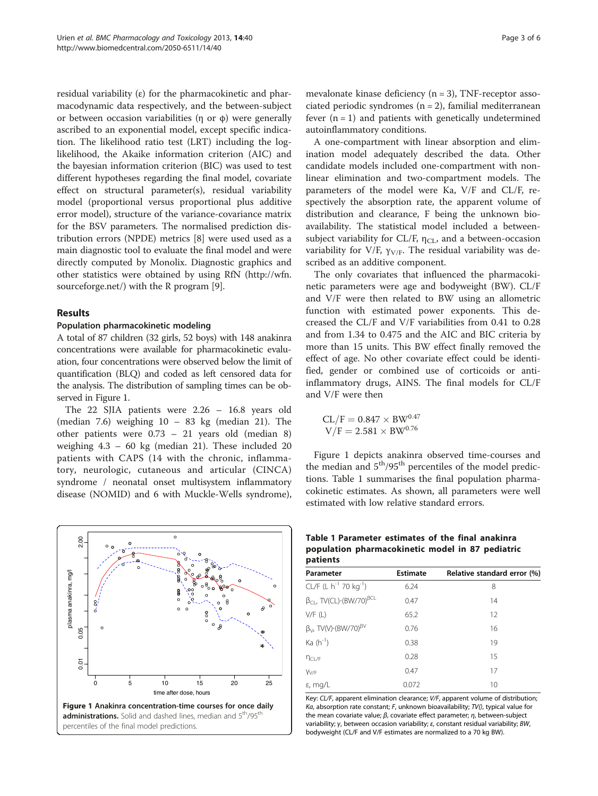<span id="page-2-0"></span>residual variability  $(ε)$  for the pharmacokinetic and pharmacodynamic data respectively, and the between-subject or between occasion variabilities (η or φ) were generally ascribed to an exponential model, except specific indication. The likelihood ratio test (LRT) including the loglikelihood, the Akaike information criterion (AIC) and the bayesian information criterion (BIC) was used to test different hypotheses regarding the final model, covariate effect on structural parameter(s), residual variability model (proportional versus proportional plus additive error model), structure of the variance-covariance matrix for the BSV parameters. The normalised prediction distribution errors (NPDE) metrics [[8\]](#page-5-0) were used used as a main diagnostic tool to evaluate the final model and were directly computed by Monolix. Diagnostic graphics and other statistics were obtained by using RfN [\(http://wfn.](http://wfn.sourceforge.net/) [sourceforge.net/\)](http://wfn.sourceforge.net/) with the R program [[9\]](#page-5-0).

#### Results

#### Population pharmacokinetic modeling

A total of 87 children (32 girls, 52 boys) with 148 anakinra concentrations were available for pharmacokinetic evaluation, four concentrations were observed below the limit of quantification (BLQ) and coded as left censored data for the analysis. The distribution of sampling times can be observed in Figure 1.

The 22 SJIA patients were 2.26 – 16.8 years old (median 7.6) weighing 10 – 83 kg (median 21). The other patients were 0.73 – 21 years old (median 8) weighing 4.3 – 60 kg (median 21). These included 20 patients with CAPS (14 with the chronic, inflammatory, neurologic, cutaneous and articular (CINCA) syndrome / neonatal onset multisystem inflammatory disease (NOMID) and 6 with Muckle-Wells syndrome),



mevalonate kinase deficiency  $(n = 3)$ , TNF-receptor associated periodic syndromes  $(n = 2)$ , familial mediterranean fever  $(n = 1)$  and patients with genetically undetermined autoinflammatory conditions.

A one-compartment with linear absorption and elimination model adequately described the data. Other candidate models included one-compartment with nonlinear elimination and two-compartment models. The parameters of the model were Ka, V/F and CL/F, respectively the absorption rate, the apparent volume of distribution and clearance, F being the unknown bioavailability. The statistical model included a betweensubject variability for CL/F,  $\eta_{CL}$ , and a between-occasion variability for V/F,  $\gamma$ <sub>V/F</sub>. The residual variability was described as an additive component.

The only covariates that influenced the pharmacokinetic parameters were age and bodyweight (BW). CL/F and V/F were then related to BW using an allometric function with estimated power exponents. This decreased the CL/F and V/F variabilities from 0.41 to 0.28 and from 1.34 to 0.475 and the AIC and BIC criteria by more than 15 units. This BW effect finally removed the effect of age. No other covariate effect could be identified, gender or combined use of corticoids or antiinflammatory drugs, AINS. The final models for CL/F and V/F were then

$$
\begin{array}{c} CL/F = 0.847 \times BW^{0.47} \\ V/F = 2.581 \times BW^{0.76} \end{array}
$$

Figure 1 depicts anakinra observed time-courses and the median and  $5<sup>th</sup>/95<sup>th</sup>$  percentiles of the model predictions. Table 1 summarises the final population pharmacokinetic estimates. As shown, all parameters were well estimated with low relative standard errors.

| patients                                             |                 |                             |
|------------------------------------------------------|-----------------|-----------------------------|
| Parameter                                            | <b>Estimate</b> | Relative standard error (%) |
| CL/F (L $h^{-1}$ 70 kg <sup>-1</sup> )               | 6.24            | 8                           |
| $\beta_{CL}$ , TV(CL) $\cdot$ (BW/70) <sup>BCL</sup> | 0.47            | 14                          |
| V/F(L)                                               | 65.2            | 12                          |
| $\beta_V$ , TV(V) $\cdot$ (BW/70) <sup>BV</sup>      | 0.76            | 16                          |
| $Ka(h^{-1})$                                         | 0.38            | 19                          |
| $n_{CL/F}$                                           | 0.28            | 15                          |
| Y <sub>V/F</sub>                                     | 0.47            | 17                          |
| $\varepsilon$ , mg/L                                 | 0.072           | 10                          |

Key: CL/F, apparent elimination clearance; V/F, apparent volume of distribution; Ka, absorption rate constant; F, unknown bioavailability;  $TV($ ), typical value for the mean covariate value;  $β$ , covariate effect parameter;  $η$ , between-subject variability; γ, between occasion variability; ε, constant residual variability; BW, bodyweight (CL/F and V/F estimates are normalized to a 70 kg BW).

# Table 1 Parameter estimates of the final anakinra population pharmacokinetic model in 87 pediatric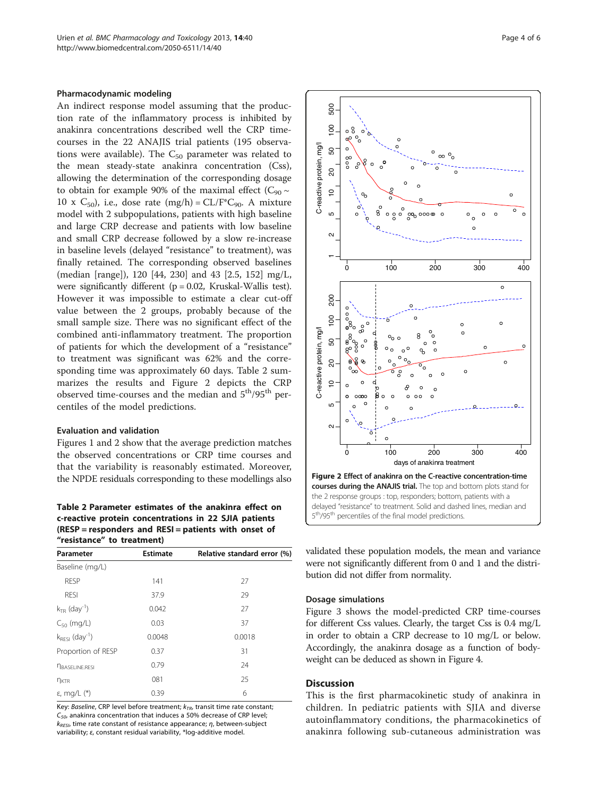#### <span id="page-3-0"></span>Pharmacodynamic modeling

An indirect response model assuming that the production rate of the inflammatory process is inhibited by anakinra concentrations described well the CRP timecourses in the 22 ANAJIS trial patients (195 observations were available). The  $C_{50}$  parameter was related to the mean steady-state anakinra concentration (Css), allowing the determination of the corresponding dosage to obtain for example 90% of the maximal effect ( $C_{90} \sim$ 10 x  $C_{50}$ , i.e., dose rate (mg/h) =  $CL/F^*C_{90}$ . A mixture model with 2 subpopulations, patients with high baseline and large CRP decrease and patients with low baseline and small CRP decrease followed by a slow re-increase in baseline levels (delayed "resistance" to treatment), was finally retained. The corresponding observed baselines (median [range]), 120 [44, 230] and 43 [2.5, 152] mg/L, were significantly different ( $p = 0.02$ , Kruskal-Wallis test). However it was impossible to estimate a clear cut-off value between the 2 groups, probably because of the small sample size. There was no significant effect of the combined anti-inflammatory treatment. The proportion of patients for which the development of a "resistance" to treatment was significant was 62% and the corresponding time was approximately 60 days. Table 2 summarizes the results and Figure 2 depicts the CRP observed time-courses and the median and  $5<sup>th</sup>/95<sup>th</sup>$  percentiles of the model predictions.

#### Evaluation and validation

Figures [1](#page-2-0) and 2 show that the average prediction matches the observed concentrations or CRP time courses and that the variability is reasonably estimated. Moreover, the NPDE residuals corresponding to these modellings also

Table 2 Parameter estimates of the anakinra effect on c-reactive protein concentrations in 22 SJIA patients (RESP = responders and RESI = patients with onset of "resistance" to treatment)

| Parameter                       | <b>Estimate</b> | Relative standard error (%) |
|---------------------------------|-----------------|-----------------------------|
| Baseline (mg/L)                 |                 |                             |
| <b>RESP</b>                     | 141             | 27                          |
| <b>RESI</b>                     | 37.9            | 29                          |
| $k_{TR}$ (day <sup>-1</sup> )   | 0.042           | 27                          |
| $C_{50}$ (mg/L)                 | 0.03            | 37                          |
| $k_{RESI}$ (day <sup>-1</sup> ) | 0.0048          | 0.0018                      |
| Proportion of RESP              | 0.37            | 31                          |
| <b>NBASELINE, RESI</b>          | 0.79            | 24                          |
| n <sub>KTR</sub>                | 081             | 25                          |
| ε, mg/L $(*)$                   | 0.39            | 6                           |

Key: Baseline, CRP level before treatment;  $k_{TR}$ , transit time rate constant;  $C_{50}$ , anakinra concentration that induces a 50% decrease of CRP level;  $k_{RESI}$ , time rate constant of resistance appearance;  $\eta$ , between-subject variability; ε, constant residual variability, \*log-additive model.



validated these population models, the mean and variance were not significantly different from 0 and 1 and the distribution did not differ from normality.

#### Dosage simulations

Figure [3](#page-4-0) shows the model-predicted CRP time-courses for different Css values. Clearly, the target Css is 0.4 mg/L in order to obtain a CRP decrease to 10 mg/L or below. Accordingly, the anakinra dosage as a function of bodyweight can be deduced as shown in Figure [4](#page-4-0).

#### **Discussion**

This is the first pharmacokinetic study of anakinra in children. In pediatric patients with SJIA and diverse autoinflammatory conditions, the pharmacokinetics of anakinra following sub-cutaneous administration was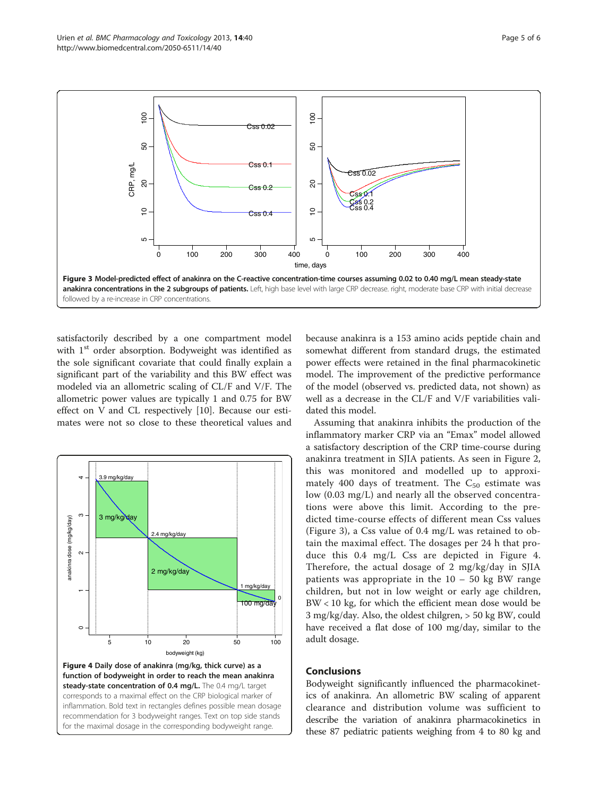<span id="page-4-0"></span>

satisfactorily described by a one compartment model with 1<sup>st</sup> order absorption. Bodyweight was identified as the sole significant covariate that could finally explain a significant part of the variability and this BW effect was modeled via an allometric scaling of CL/F and V/F. The allometric power values are typically 1 and 0.75 for BW effect on V and CL respectively [[10](#page-5-0)]. Because our estimates were not so close to these theoretical values and



because anakinra is a 153 amino acids peptide chain and somewhat different from standard drugs, the estimated power effects were retained in the final pharmacokinetic model. The improvement of the predictive performance of the model (observed vs. predicted data, not shown) as well as a decrease in the CL/F and V/F variabilities validated this model.

Assuming that anakinra inhibits the production of the inflammatory marker CRP via an "Emax" model allowed a satisfactory description of the CRP time-course during anakinra treatment in SJIA patients. As seen in Figure [2](#page-3-0), this was monitored and modelled up to approximately 400 days of treatment. The  $C_{50}$  estimate was low (0.03 mg/L) and nearly all the observed concentrations were above this limit. According to the predicted time-course effects of different mean Css values (Figure 3), a Css value of 0.4 mg/L was retained to obtain the maximal effect. The dosages per 24 h that produce this 0.4 mg/L Css are depicted in Figure 4. Therefore, the actual dosage of 2 mg/kg/day in SJIA patients was appropriate in the  $10 - 50$  kg BW range children, but not in low weight or early age children, BW < 10 kg, for which the efficient mean dose would be 3 mg/kg/day. Also, the oldest chilgren, > 50 kg BW, could have received a flat dose of 100 mg/day, similar to the adult dosage.

#### Conclusions

Bodyweight significantly influenced the pharmacokinetics of anakinra. An allometric BW scaling of apparent clearance and distribution volume was sufficient to describe the variation of anakinra pharmacokinetics in these 87 pediatric patients weighing from 4 to 80 kg and